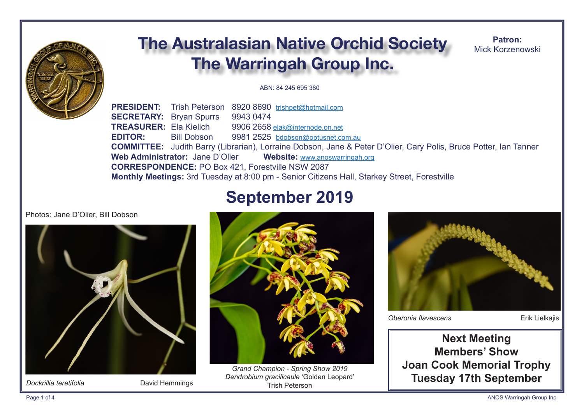

# **The Australasian Native Orchid Society The Warringah Group Inc.**

Patron: Mick Korzenowski

ABN: 84 245 695 380

**PRESIDENT:** Trish Peterson 8920 8690 trishpet@hotmail.com **SECRETARY:** Brvan Spurrs 9943 0474 **TREASURER: Ela Kielich** 9906 2658 elak@internode.on.net **FDITOR** 9981 2525 bdobson@optusnet.com.au **Bill Dobson COMMITTEE:** Judith Barry (Librarian), Lorraine Dobson, Jane & Peter D'Olier, Cary Polis, Bruce Potter, Ian Tanner Web Administrator: Jane D'Olier Website: www.anoswarringah.org **CORRESPONDENCE: PO Box 421. Forestville NSW 2087** Monthly Meetings: 3rd Tuesday at 8:00 pm - Senior Citizens Hall, Starkey Street, Forestville

# **September 2019**

Photos: Jane D'Olier, Bill Dobson



Dockrillia teretifolia

David Hemmings



Grand Champion - Spring Show 2019 Dendrobium gracilicaule 'Golden Leopard' **Trish Peterson** 



Oberonia flavescens

**Erik Lielkajis** 

**Next Meeting Members' Show Joan Cook Memorial Trophy Tuesday 17th September**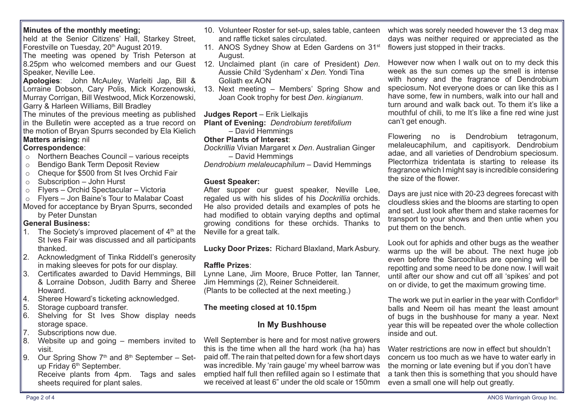## **Minutes of the monthly meeting;**

held at the Senior Citizens' Hall. Starkey Street. Forestville on Tuesday, 20<sup>th</sup> August 2019.

The meeting was opened by Trish Peterson at 8.25pm who welcomed members and our Guest 12. Unclaimed plant (in care of President) *Den*. Speaker, Neville Lee.

**Apologies**: John McAuley, Warleiti Jap, Bill & Lorraine Dobson, Cary Polis, Mick Korzenowski, Murray Corrigan, Bill Westwood, Mick Korzenowski, Garry & Harleen Williams, Bill Bradley

The minutes of the previous meeting as published in the Bulletin were accepted as a true record on the motion of Bryan Spurrs seconded by Ela Kielich **Matters arising:** nil

# **Correspondence**:

- o Northern Beaches Council various receipts
- o Bendigo Bank Term Deposit Review
- $\circ$  Cheque for \$500 from St Ives Orchid Fair
- $\circ$  Subscription John Hurst
- o Flyers Orchid Spectacular Victoria
- o Flyers Jon Baine's Tour to Malabar Coast
- Moved for acceptance by Bryan Spurrs, seconded by Peter Dunstan

# **General Business:**

- 1. The Society's improved placement of  $4<sup>th</sup>$  at the St Ives Fair was discussed and all participants thanked.
- 2. Acknowledgment of Tinka Riddell's generosity in making sleeves for pots for our display.
- 3. Certifcates awarded to David Hemmings, Bill & Lorraine Dobson, Judith Barry and Sheree Howard.
- 4. Sheree Howard's ticketing acknowledged.
- 5. Storage cupboard transfer.
- 6. Shelving for St Ives Show display needs storage space.
- 7. Subscriptions now due.
- $\parallel$ 8. Website up and going members invited to visit.
- 9. Our Spring Show  $7<sup>th</sup>$  and  $8<sup>th</sup>$  September Setup Friday 6<sup>th</sup> September. sheets required for plant sales.
- 10. Volunteer Roster for set-up, sales table, canteen which was sorely needed however the 13 deg max and raffle ticket sales circulated.
- 11. ANOS Sydney Show at Eden Gardens on 31<sup>st</sup> August.
- Aussie Child 'Sydenham' x *Den.* Yondi Tina Goliath ex AON
- 13. Next meeting Members' Spring Show and Joan Cook trophy for best *Den*. *kingianum*.

# **Judges Report** – Erik Lielkajis

- **Plant of Evening:** *Dendrobium teretifolium*
	- David Hemmings

# **Other Plants of Interest**:

- *Dockrillia* Vivian Margaret x *Den*. Australian Ginger – David Hemmings
- *Dendrobium melaleucaphilum* David Hemmings

# **Guest Speaker:**

After supper our quest speaker. Neville Lee, regaled us with his slides of his *Dockrillia* orchids. He also provided details and examples of pots he had modifed to obtain varying depths and optimal growing conditions for these orchids. Thanks to Neville for a great talk.

**Lucky Door Prizes:** Richard Blaxland, Mark Asbury.

# **Raffle Prizes:**

Lynne Lane, Jim Moore, Bruce Potter, Ian Tanner, Jim Hemmings (2), Reiner Schneidereit. (Plants to be collected at the next meeting.)

# **The meeting closed at 10.15pm**

# **In My Bushhouse**

Receive plants from 4pm. Tags and sales emptied half full then refilled again so I estimate that Well September is here and for most native growers this is the time when all the hard work (ha ha) has paid off. The rain that pelted down for a few short days was incredible. My 'rain gauge' my wheel barrow was we received at least 6" under the old scale or 150mm

days was neither required or appreciated as the flowers just stopped in their tracks.

However now when I walk out on to my deck this week as the sun comes up the smell is intense with honey and the fragrance of Dendrobium speciosum. Not everyone does or can like this as I have some, few in numbers, walk into our hall and turn around and walk back out. To them it's like a mouthful of chili, to me It's like a fine red wine just can't get enough.

Flowering no is Dendrobium tetragonum, melaleucaphilum, and capitisyork. Dendrobium adae, and all varieties of Dendrobium speciosum. Plectorrhiza tridentata is starting to release its fragrance which I might say is incredible considering the size of the fower.

Days are just nice with 20-23 degrees forecast with cloudless skies and the blooms are starting to open and set. Just look after them and stake racemes for transport to your shows and then untie when you put them on the bench.

Look out for aphids and other bugs as the weather warms up the will be about. The next huge job even before the Sarcochilus are opening will be repotting and some need to be done now. I will wait until after our show and cut off all 'spikes' and pot on or divide, to get the maximum growing time.

The work we put in earlier in the year with Confidor<sup>®</sup> balls and Neem oil has meant the least amount of bugs in the bushhouse for many a year. Next year this will be repeated over the whole collection inside and out.

Water restrictions are now in effect but shouldn't concern us too much as we have to water early in the morning or late evening but if you don't have a tank then this is something that you should have even a small one will help out greatly.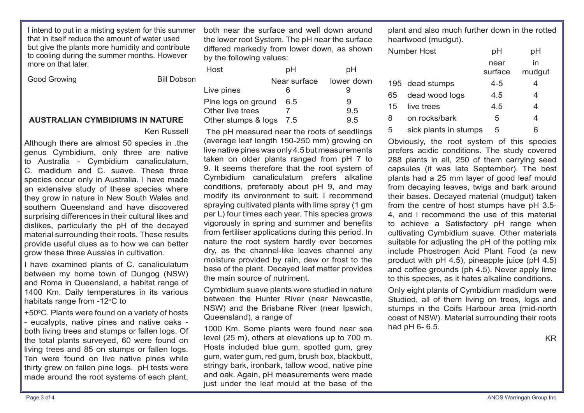I intend to put in a misting system for this summer that in itself reduce the amount of water used but give the plants more humidity and contribute to cooling during the summer months. However more on that later

| <b>Good Growing</b> |  |
|---------------------|--|
|                     |  |

**Bill Dobson** 

#### **AUSTRALIAN CYMBIDIUMS IN NATURE**

#### Ken Russell

Although there are almost 50 species in .the genus Cymbidium, only three are native to Australia - Cymbidium canaliculatum, C. madidum and C. suave. These three species occur only in Australia. I have made an extensive study of these species where they grow in nature in New South Wales and southern Queensland and have discovered surprising diferences in their cultural likes and dislikes, particularly the pH of the decayed material surrounding their roots. These results provide useful clues as to how we can better grow these three Aussies in cultivation.

I have examined plants of C. canaliculatum between my home town of Dungog (NSW) and Roma in Queensland, a habitat range of 1400 Km. Daily temperatures in its various habitats range from -12°C to

+50°C. Plants were found on a variety of hosts - eucalypts, native pines and native oaks both living trees and stumps or fallen logs. Of the total plants surveyed, 60 were found on living trees and 85 on stumps or fallen logs. Ten were found on live native pines while thirty grew on fallen pine logs. pH tests were made around the root systems of each plant,

both near the surface and well down around the lower root System. The pH near the surface difered markedly from lower down, as shown by the following values:

| Host                | рH           | рH         |
|---------------------|--------------|------------|
|                     | Near surface | lower down |
| Live pines          |              |            |
| Pine logs on ground | 6.5          | 9          |
| Other live trees    |              | 95         |
| Other stumps & logs | 7.5          | 95         |

 The pH measured near the roots of seedlings (average leaf length 150-250 mm) growing on live native pines was only 4.5 but measurements taken on older plants ranged from pH 7 to 9. It seems therefore that the root system of Cymbidium canaliculatum prefers alkaline conditions, preferably about pH 9, and may modify its environment to suit. I recommend spraying cultivated plants with lime spray (1 gm per L) four times each year. This species grows vigorously in spring and summer and benefits from fertiliser applications during this period. In nature the root system hardly ever becomes dry, as the channel-like leaves channel any moisture provided by rain, dew or frost to the base of the plant. Decayed leaf matter provides the main source of nutriment.

Cymbidium suave plants were studied in nature between the Hunter River (near Newcastle, NSW) and the Brisbane River (near Ipswich, Queensland), a range of

1000 Km. Some plants were found near sea level (25 m), others at elevations up to 700 m. Hosts included blue gum, spotted gum, grey gum, water gum, red gum, brush box, blackbutt, stringy bark, ironbark, tallow wood, native pine and oak. Again, pH measurements were made just under the leaf mould at the base of the

plant and also much further down in the rotted heartwood (mudgut).

|    | Number Host           | рH              | рH           |
|----|-----------------------|-----------------|--------------|
|    |                       | near<br>surface | in<br>mudgut |
|    | 195 dead stumps       | $4 - 5$         | 4            |
| 65 | dead wood logs        | 4.5             | 4            |
| 15 | live trees            | 4.5             | 4            |
| 8  | on rocks/bark         | 5               | 4            |
| 5  | sick plants in stumps | 5               |              |

Obviously, the root system of this species prefers acidic conditions. The study covered 288 plants in all, 250 of them carrying seed capsules (it was late September). The best plants had a 25 mm layer of good leaf mould from decaying leaves, twigs and bark around their bases. Decayed material (mudgut) taken from the centre of host stumps have pH 3.5- 4, and I recommend the use of this material to achieve a Satisfactory pH range when cultivating Cymbidium suave. Other materials suitable for adjusting the pH of the potting mix include Phostrogen Acid Plant Food (a new product with pH 4.5), pineapple juice (pH 4.5) and coffee grounds (ph 4.5). Never apply lime to this species, as it hates alkaline conditions.

Only eight plants of Cymbidium madidum were Studied, all of them living on trees, logs and stumps in the Coifs Harbour area (mid-north coast of NSW). Material surrounding their roots had pH 6- 6.5.

KR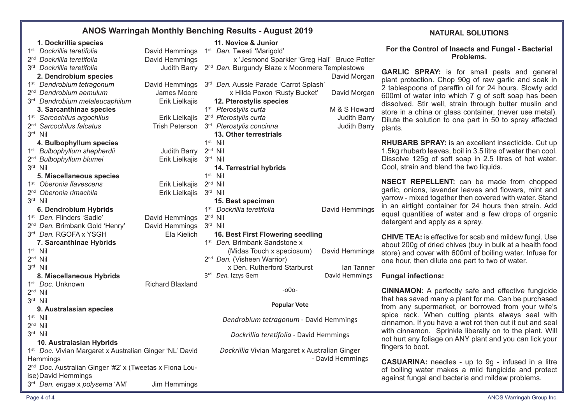## **ANOS Warringah Monthly Benching Results - August 2019**

| 1. Dockrillia species                                               |                         | 11. Novice & Junior                                        |                     |
|---------------------------------------------------------------------|-------------------------|------------------------------------------------------------|---------------------|
| 1 <sup>st</sup> Dockrillia teretifolia                              | David Hemmings          | 1 <sup>st</sup> Den. Tweeti 'Marigold'                     |                     |
| 2 <sup>nd</sup> Dockrillia teretifolia                              | David Hemmings          | x 'Jesmond Sparkler 'Greg Hall' Bruce Potter               |                     |
| 3 <sup>rd</sup> Dockrillia teretifolia                              | Judith Barry            | 2 <sup>nd</sup> Den. Burgundy Blaze x Moonmere Templestowe |                     |
| 2. Dendrobium species                                               |                         |                                                            | David Morgan        |
| 1 <sup>st</sup> Dendrobium tetragonum                               | David Hemmings          | 3rd Den. Aussie Parade 'Carrot Splash'                     |                     |
| 2 <sup>nd</sup> Dendrobium aemulum                                  | James Moore             | x Hilda Poxon 'Rusty Bucket'                               | David Morgan        |
| 3rd Dendrobium melaleucaphilum                                      | Erik Lielkajis          | 12. Pterostylis species                                    |                     |
| 3. Sarcanthinae species                                             |                         | 1 <sup>st</sup> Pterostylis curta                          | M & S Howard        |
| 1 <sup>st</sup> Sarcochilus argochilus                              | Erik Lielkajis          | 2 <sup>nd</sup> Pterostylis curta                          | <b>Judith Barry</b> |
| 2 <sup>nd</sup> Sarcochilus falcatus                                | <b>Trish Peterson</b>   | 3 <sup>rd</sup> Pterostylis concinna                       | Judith Barry        |
| 3rd Nil                                                             |                         | 13. Other terrestrials                                     |                     |
| 4. Bulbophyllum species                                             |                         | $1st$ Nil                                                  |                     |
| 1 <sup>st</sup> Bulbophyllum shepherdii                             | <b>Judith Barry</b>     | $2nd$ Nil                                                  |                     |
| 2 <sup>nd</sup> Bulbophyllum blumei                                 | Erik Lielkajis          | 3rd Nil                                                    |                     |
| 3rd Nil                                                             |                         | 14. Terrestrial hybrids                                    |                     |
| 5. Miscellaneous species                                            |                         | $1st$ Nil                                                  |                     |
| 1 <sup>st</sup> Oberonia flavescens                                 | Erik Lielkajis          | $2nd$ Nil                                                  |                     |
| 2 <sup>nd</sup> Oberonia rimachila                                  | Erik Lielkajis          | $3rd$ Nil                                                  |                     |
| 3rd Nil                                                             |                         | 15. Best specimen                                          |                     |
| 6. Dendrobium Hybrids                                               |                         | 1 <sup>st</sup> Dockrillia teretifolia                     | David Hemmings      |
| 1st Den. Flinders 'Sadie'                                           | David Hemmings          | $2nd$ Nil                                                  |                     |
| 2 <sup>nd</sup> Den. Brimbank Gold 'Henry'                          | David Hemmings          | 3rd Nil                                                    |                     |
| 3rd Den. RGOFA x YSGH                                               | Ela Kielich             | 16. Best First Flowering seedling                          |                     |
| 7. Sarcanthinae Hybrids                                             |                         | 1 <sup>st</sup> Den. Brimbank Sandstone x                  |                     |
| $1st$ Nil                                                           |                         | (Midas Touch x speciosum)                                  | David Hemmings      |
| $2nd$ Nil                                                           |                         | 2 <sup>nd</sup> Den. (Visheen Warrior)                     |                     |
| 3rd Nil                                                             |                         | x Den. Rutherford Starburst                                | lan Tanner          |
| 8. Miscellaneous Hybrids                                            |                         | 3rd Den. Izzys Gem                                         | David Hemmings      |
| 1 <sup>st</sup> Doc. Unknown                                        | <b>Richard Blaxland</b> |                                                            |                     |
| $2nd$ Nil                                                           |                         | $-000-$                                                    |                     |
| 3rd Nil                                                             |                         | <b>Popular Vote</b>                                        |                     |
| 9. Australasian species                                             |                         |                                                            |                     |
| $1st$ Nil                                                           |                         | Dendrobium tetragonum - David Hemmings                     |                     |
| $2nd$ Nil                                                           |                         |                                                            |                     |
| $3rd$ Nil                                                           |                         | Dockrillia teretifolia - David Hemmings                    |                     |
| 10. Australasian Hybrids                                            |                         |                                                            |                     |
| 1 <sup>st</sup> Doc. Vivian Margaret x Australian Ginger 'NL' David |                         | Dockrillia Vivian Margaret x Australian Ginger             |                     |
| Hemmings                                                            |                         |                                                            | - David Hemmings    |
| 2 <sup>nd</sup> Doc. Australian Ginger '#2' x (Tweetas x Fiona Lou- |                         |                                                            |                     |
| ise) David Hemmings                                                 |                         |                                                            |                     |
| 3rd Den. engae x polysema 'AM'                                      | Jim Hemmings            |                                                            |                     |

### **NATURAL SOLUTIONS**

#### **For the Control of Insects and Fungal - Bacterial Problems.**

**GARLIC SPRAY:** is for small pests and general plant protection. Chop 90g of raw garlic and soak in 2 tablespoons of paraffin oil for 24 hours. Slowly add 600ml of water into which 7 g of soft soap has been dissolved. Stir well, strain through butter muslin and store in a china or glass container, (never use metal). Dilute the solution to one part in 50 to spray afected plants.

**RHUBARB SPRAY:** is an excellent insecticide. Cut up 1.5kg rhubarb leaves, boil in 3.5 litre of water then cool. Dissolve 125g of soft soap in 2.5 litres of hot water. Cool, strain and blend the two liquids.

**NSECT REPELLENT:** can be made from chopped garlic, onions, lavender leaves and fowers, mint and yarrow - mixed together then covered with water. Stand in an airtight container for 24 hours then strain. Add equal quantities of water and a few drops of organic detergent and apply as a spray.

**CHIVE TEA:** is effective for scab and mildew fungi. Use about 200g of dried chives (buy in bulk at a health food store) and cover with 600ml of boiling water. Infuse for one hour, then dilute one part to two of water.

### **Fungal infections:**

**CINNAMON:** A perfectly safe and effective fungicide that has saved many a plant for me. Can be purchased from any supermarket, or borrowed from your wife's spice rack. When cutting plants always seal with cinnamon. If you have a wet rot then cut it out and seal with cinnamon. Sprinkle liberally on to the plant. Will not hurt any foliage on ANY plant and you can lick your fingers to boot.

**CASUARINA:** needles - up to 9g - infused in a litre of boiling water makes a mild fungicide and protect against fungal and bacteria and mildew problems.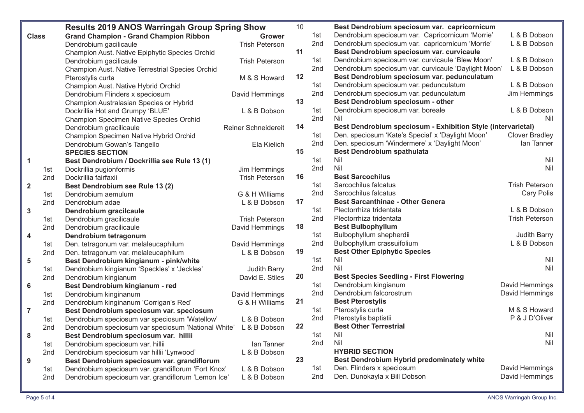|                |                 | <b>Results 2019 ANOS Warringah Group Spring Show</b> |                            | 10 |                 | Best Dendrobium speciosum var. capricornicum                 |                       |
|----------------|-----------------|------------------------------------------------------|----------------------------|----|-----------------|--------------------------------------------------------------|-----------------------|
| <b>Class</b>   |                 | <b>Grand Champion - Grand Champion Ribbon</b>        | <b>Grower</b>              |    | 1st             | Dendrobium speciosum var. Capricornicum 'Morrie'             | L & B Dobson          |
|                |                 | Dendrobium gacilicaule                               | <b>Trish Peterson</b>      |    | 2nd             | Dendrobium speciosum var. capricornicum 'Morrie'             | L & B Dobson          |
|                |                 | Champion Aust. Native Epiphytic Species Orchid       |                            | 11 |                 | Best Dendrobium speciosum var. curvicaule                    |                       |
|                |                 | Dendrobium gacilicaule                               | <b>Trish Peterson</b>      |    | 1st             | Dendrobium speciosum var. curvicaule 'Blew Moon'             | L & B Dobson          |
|                |                 | Champion Aust. Native Terrestrial Species Orchid     |                            |    | 2 <sub>nd</sub> | Dendrobium speciosum var. curvicaule 'Daylight Moon'         | L & B Dobson          |
|                |                 | Pterostylis curta                                    | M & S Howard               | 12 |                 | Best Dendrobium speciosum var. pedunculatum                  |                       |
|                |                 | Champion Aust. Native Hybrid Orchid                  |                            |    | 1st             | Dendrobium speciosum var. pedunculatum                       | L & B Dobson          |
|                |                 | Dendrobium Flinders x speciosum                      | David Hemmings             |    | 2nd             | Dendrobium speciosum var. pedunculatum                       | Jim Hemmings          |
|                |                 | Champion Australasian Species or Hybrid              |                            | 13 |                 | Best Dendrobium speciosum - other                            |                       |
|                |                 | Dockrillia Hot and Grumpy 'BLUE'                     | L & B Dobson               |    | 1st             | Dendrobium speciosum var. boreale                            | L & B Dobson          |
|                |                 | <b>Champion Specimen Native Species Orchid</b>       |                            |    | 2nd             | Nil                                                          | Nil                   |
|                |                 | Dendrobium gracilicaule                              | <b>Reiner Schneidereit</b> | 14 |                 | Best Dendrobium speciosum - Exhibition Style (intervarietal) |                       |
|                |                 | Champion Specimen Native Hybrid Orchid               |                            |    | 1st             | Den. speciosum 'Kate's Special' x 'Daylight Moon'            | <b>Clover Bradley</b> |
|                |                 | Dendrobium Gowan's Tangello                          | Ela Kielich                |    | 2 <sub>nd</sub> | Den. speciosum 'Windermere' x 'Daylight Moon'                | lan Tanner            |
|                |                 | <b>SPECIES SECTION</b>                               |                            | 15 |                 | <b>Best Dendrobium spathulata</b>                            |                       |
| $\mathbf 1$    |                 | Best Dendrobium / Dockrillia see Rule 13 (1)         |                            |    | 1st             | Nil                                                          | Nil                   |
|                | 1st             | Dockrillia pugionformis                              | Jim Hemmings               |    | 2nd             | Nil                                                          | Nil                   |
|                | 2nd             | Dockrillia fairfaxii                                 | <b>Trish Peterson</b>      | 16 |                 | <b>Best Sarcochilus</b>                                      |                       |
| $\overline{2}$ |                 | Best Dendrobium see Rule 13 (2)                      |                            |    | 1st             | Sarcochilus falcatus                                         | <b>Trish Peterson</b> |
|                | 1st             | Dendrobium aemulum                                   | G & H Williams             |    | 2nd             | Sarcochilus falcatus                                         | <b>Cary Polis</b>     |
|                | 2nd             | Dendrobium adae                                      | L & B Dobson               | 17 |                 | <b>Best Sarcanthinae - Other Genera</b>                      |                       |
| $\mathbf{3}$   |                 | Dendrobium gracilcaule                               |                            |    | 1st             | Plectorrhiza tridentata                                      | L & B Dobson          |
|                | 1st             | Dendrobium gracilicaule                              | <b>Trish Peterson</b>      |    | 2nd             | Plectorrhiza tridentata                                      | <b>Trish Peterson</b> |
|                | 2nd             | Dendrobium gracilicaule                              | David Hemmings             | 18 |                 | <b>Best Bulbophyllum</b>                                     |                       |
| 4              |                 | Dendrobium tetragonum                                |                            |    | 1st             | Bulbophyllum shepherdii                                      | Judith Barry          |
|                | 1st             | Den. tetragonum var. melaleucaphilum                 | David Hemmings             |    | 2nd             | Bulbophyllum crassuifolium                                   | L & B Dobson          |
|                | 2nd             | Den. tetragonum var. melaleucaphilum                 | L & B Dobson               | 19 |                 | <b>Best Other Epiphytic Species</b>                          |                       |
| $5\phantom{1}$ |                 | Best Dendrobium kingianum - pink/white               |                            |    | 1st             | Nil                                                          | Nil                   |
|                | 1st             | Dendrobium kingianum 'Speckles' x 'Jeckles'          | Judith Barry               |    | 2nd             | Nil                                                          | Nil                   |
|                | 2nd             | Dendrobium kingianum                                 | David E. Stiles            | 20 |                 | <b>Best Species Seedling - First Flowering</b>               |                       |
| 6              |                 | Best Dendrobium kingianum - red                      |                            |    | 1st             | Dendrobium kingianum                                         | David Hemmings        |
|                | 1st             | Dendrobium kinginanum                                | David Hemmings             |    | 2 <sub>nd</sub> | Dendrobium falcorostrum                                      | David Hemmings        |
|                | 2nd             | Dendrobium kinginanum 'Corrigan's Red'               | G & H Williams             | 21 |                 | <b>Best Pterostylis</b>                                      |                       |
| $\overline{7}$ |                 | Best Dendrobium speciosum var. speciosum             |                            |    | 1st             | Pterostylis curta                                            | M & S Howard          |
|                | 1st             | Dendrobium speciosum var speciosum 'Watellow'        | L & B Dobson               |    | 2 <sub>nd</sub> | Pterostylis baptistii                                        | P & J D'Oliver        |
|                | 2nd             | Dendrobium speciosum var speciosum 'National White'  | L & B Dobson               | 22 |                 | <b>Best Other Terrestrial</b>                                |                       |
| ${\bf 8}$      |                 | Best Dendrobium speciosum var. hillii                |                            |    | 1st             | Nil                                                          | Nil                   |
|                | 1st             | Dendrobium speciosum var. hillii                     | lan Tanner                 |    | 2nd             | Nil                                                          | Nil                   |
|                | 2nd             | Dendrobium speciosum var hillii 'Lynwood'            | L & B Dobson               |    |                 | <b>HYBRID SECTION</b>                                        |                       |
| $9$            |                 | Best Dendrobium speciosum var. grandiflorum          |                            | 23 |                 | Best Dendrobium Hybrid predominately white                   |                       |
|                | 1st             | Dendrobium speciosum var. grandiflorum 'Fort Knox'   | L & B Dobson               |    | 1st             | Den. Flinders x speciosum                                    | David Hemmings        |
|                | 2 <sub>nd</sub> | Dendrobium speciosum var. grandiflorum 'Lemon Ice'   | L & B Dobson               |    | 2nd             | Den. Dunokayla x Bill Dobson                                 | David Hemmings        |